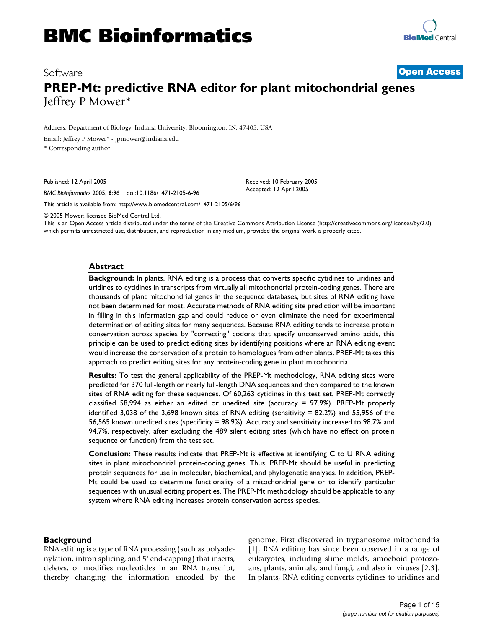# Software **[Open Access](http://www.biomedcentral.com/info/about/charter/) PREP-Mt: predictive RNA editor for plant mitochondrial genes** Jeffrey P Mower\*

Address: Department of Biology, Indiana University, Bloomington, IN, 47405, USA

Email: Jeffrey P Mower\* - jpmower@indiana.edu

\* Corresponding author

Published: 12 April 2005

*BMC Bioinformatics* 2005, **6**:96 doi:10.1186/1471-2105-6-96

[This article is available from: http://www.biomedcentral.com/1471-2105/6/96](http://www.biomedcentral.com/1471-2105/6/96)

© 2005 Mower; licensee BioMed Central Ltd.

This is an Open Access article distributed under the terms of the Creative Commons Attribution License [\(http://creativecommons.org/licenses/by/2.0\)](http://creativecommons.org/licenses/by/2.0), which permits unrestricted use, distribution, and reproduction in any medium, provided the original work is properly cited.

Received: 10 February 2005 Accepted: 12 April 2005

#### **Abstract**

**Background:** In plants, RNA editing is a process that converts specific cytidines to uridines and uridines to cytidines in transcripts from virtually all mitochondrial protein-coding genes. There are thousands of plant mitochondrial genes in the sequence databases, but sites of RNA editing have not been determined for most. Accurate methods of RNA editing site prediction will be important in filling in this information gap and could reduce or even eliminate the need for experimental determination of editing sites for many sequences. Because RNA editing tends to increase protein conservation across species by "correcting" codons that specify unconserved amino acids, this principle can be used to predict editing sites by identifying positions where an RNA editing event would increase the conservation of a protein to homologues from other plants. PREP-Mt takes this approach to predict editing sites for any protein-coding gene in plant mitochondria.

**Results:** To test the general applicability of the PREP-Mt methodology, RNA editing sites were predicted for 370 full-length or nearly full-length DNA sequences and then compared to the known sites of RNA editing for these sequences. Of 60,263 cytidines in this test set, PREP-Mt correctly classified 58,994 as either an edited or unedited site (accuracy = 97.9%). PREP-Mt properly identified 3,038 of the 3,698 known sites of RNA editing (sensitivity = 82.2%) and 55,956 of the 56,565 known unedited sites (specificity = 98.9%). Accuracy and sensitivity increased to 98.7% and 94.7%, respectively, after excluding the 489 silent editing sites (which have no effect on protein sequence or function) from the test set.

**Conclusion:** These results indicate that PREP-Mt is effective at identifying C to U RNA editing sites in plant mitochondrial protein-coding genes. Thus, PREP-Mt should be useful in predicting protein sequences for use in molecular, biochemical, and phylogenetic analyses. In addition, PREP-Mt could be used to determine functionality of a mitochondrial gene or to identify particular sequences with unusual editing properties. The PREP-Mt methodology should be applicable to any system where RNA editing increases protein conservation across species.

#### **Background**

RNA editing is a type of RNA processing (such as polyadenylation, intron splicing, and 5' end-capping) that inserts, deletes, or modifies nucleotides in an RNA transcript, thereby changing the information encoded by the genome. First discovered in trypanosome mitochondria [1], RNA editing has since been observed in a range of eukaryotes, including slime molds, amoeboid protozoans, plants, animals, and fungi, and also in viruses [2,3]. In plants, RNA editing converts cytidines to uridines and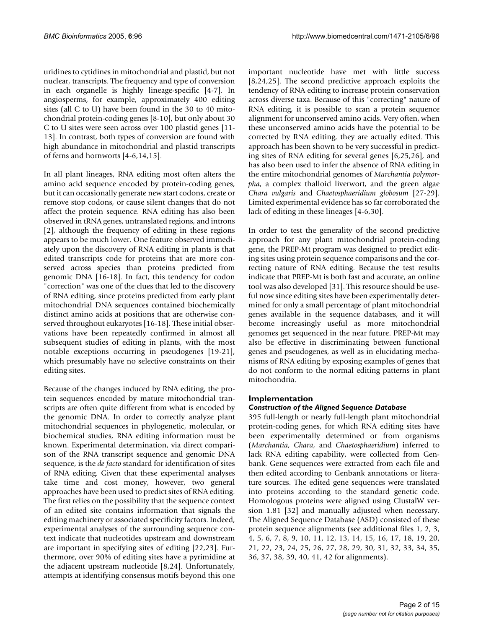uridines to cytidines in mitochondrial and plastid, but not nuclear, transcripts. The frequency and type of conversion in each organelle is highly lineage-specific [4-7]. In angiosperms, for example, approximately 400 editing sites (all C to U) have been found in the 30 to 40 mitochondrial protein-coding genes [8-10], but only about 30 C to U sites were seen across over 100 plastid genes [11- [13](#page-13-0)]. In contrast, both types of conversion are found with high abundance in mitochondrial and plastid transcripts of ferns and hornworts [4-6,14,15].

In all plant lineages, RNA editing most often alters the amino acid sequence encoded by protein-coding genes, but it can occasionally generate new start codons, create or remove stop codons, or cause silent changes that do not affect the protein sequence. RNA editing has also been observed in tRNA genes, untranslated regions, and introns [2], although the frequency of editing in these regions appears to be much lower. One feature observed immediately upon the discovery of RNA editing in plants is that edited transcripts code for proteins that are more conserved across species than proteins predicted from genomic DNA [16-18]. In fact, this tendency for codon "correction" was one of the clues that led to the discovery of RNA editing, since proteins predicted from early plant mitochondrial DNA sequences contained biochemically distinct amino acids at positions that are otherwise conserved throughout eukaryotes [16-18]. These initial observations have been repeatedly confirmed in almost all subsequent studies of editing in plants, with the most notable exceptions occurring in pseudogenes [19-21], which presumably have no selective constraints on their editing sites.

Because of the changes induced by RNA editing, the protein sequences encoded by mature mitochondrial transcripts are often quite different from what is encoded by the genomic DNA. In order to correctly analyze plant mitochondrial sequences in phylogenetic, molecular, or biochemical studies, RNA editing information must be known. Experimental determination, via direct comparison of the RNA transcript sequence and genomic DNA sequence, is the *de facto* standard for identification of sites of RNA editing. Given that these experimental analyses take time and cost money, however, two general approaches have been used to predict sites of RNA editing. The first relies on the possibility that the sequence context of an edited site contains information that signals the editing machinery or associated specificity factors. Indeed, experimental analyses of the surrounding sequence context indicate that nucleotides upstream and downstream are important in specifying sites of editing [22,23]. Furthermore, over 90% of editing sites have a pyrimidine at the adjacent upstream nucleotide [8,24]. Unfortunately, attempts at identifying consensus motifs beyond this one important nucleotide have met with little success [8,24,25]. The second predictive approach exploits the tendency of RNA editing to increase protein conservation across diverse taxa. Because of this "correcting" nature of RNA editing, it is possible to scan a protein sequence alignment for unconserved amino acids. Very often, when these unconserved amino acids have the potential to be corrected by RNA editing, they are actually edited. This approach has been shown to be very successful in predicting sites of RNA editing for several genes [6,25,26], and has also been used to infer the absence of RNA editing in the entire mitochondrial genomes of *Marchantia polymorpha*, a complex thalloid liverwort, and the green algae *Chara vulgaris* and *Chaetosphaeridium globosum* [27-29]. Limited experimental evidence has so far corroborated the lack of editing in these lineages [4-6,30].

In order to test the generality of the second predictive approach for any plant mitochondrial protein-coding gene, the PREP-Mt program was designed to predict editing sites using protein sequence comparisons and the correcting nature of RNA editing. Because the test results indicate that PREP-Mt is both fast and accurate, an online tool was also developed [31]. This resource should be useful now since editing sites have been experimentally determined for only a small percentage of plant mitochondrial genes available in the sequence databases, and it will become increasingly useful as more mitochondrial genomes get sequenced in the near future. PREP-Mt may also be effective in discriminating between functional genes and pseudogenes, as well as in elucidating mechanisms of RNA editing by exposing examples of genes that do not conform to the normal editing patterns in plant mitochondria.

#### **Implementation**

#### *Construction of the Aligned Sequence Database*

395 full-length or nearly full-length plant mitochondrial protein-coding genes, for which RNA editing sites have been experimentally determined or from organisms (*Marchantia*, *Chara*, and *Chaetosphaeridium*) inferred to lack RNA editing capability, were collected from Genbank. Gene sequences were extracted from each file and then edited according to Genbank annotations or literature sources. The edited gene sequences were translated into proteins according to the standard genetic code. Homologous proteins were aligned using ClustalW version 1.81 [32] and manually adjusted when necessary. The Aligned Sequence Database (ASD) consisted of these protein sequence alignments (see additional files 1, 2, 3, 4, 5, 6, 7, 8, 9, 10, 11, 12, 13, 14, 15, 16, 17, 18, 19, 20, 21, 22, 23, 24, 25, 26, 27, 28, 29, 30, 31, 32, 33, 34, 35, 36, 37, 38, 39, 40, 41, 42 for alignments).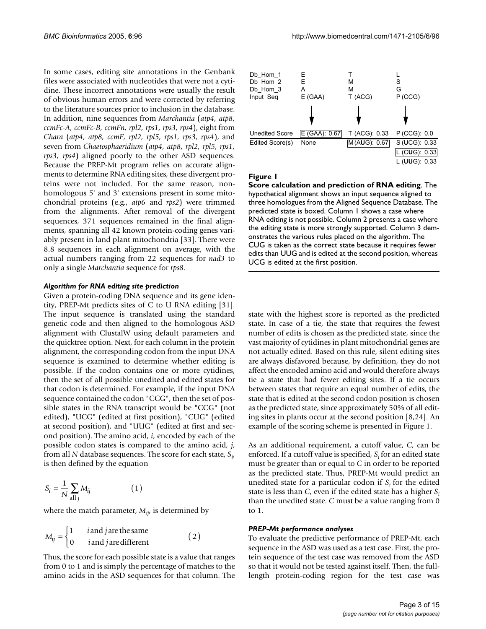In some cases, editing site annotations in the Genbank files were associated with nucleotides that were not a cytidine. These incorrect annotations were usually the result of obvious human errors and were corrected by referring to the literature sources prior to inclusion in the database. In addition, nine sequences from *Marchantia* (*atp4, atp8, ccmFc-A, ccmFc-B, ccmFn, rpl2, rps1, rps3, rps4*), eight from *Chara* (*atp4, atp8, ccmF, rpl2, rpl5, rps1, rps3, rps4*), and seven from *Chaetosphaeridium* (*atp4, atp8, rpl2, rpl5, rps1, rps3, rps4*) aligned poorly to the other ASD sequences. Because the PREP-Mt program relies on accurate alignments to determine RNA editing sites, these divergent proteins were not included. For the same reason, nonhomologous 5' and 3' extensions present in some mitochondrial proteins (e.g., *atp6* and *rps2*) were trimmed from the alignments. After removal of the divergent sequences, 371 sequences remained in the final alignments, spanning all 42 known protein-coding genes variably present in land plant mitochondria [33]. There were 8.8 sequences in each alignment on average, with the actual numbers ranging from 22 sequences for *nad3* to only a single *Marchantia* sequence for *rps8*.

#### *Algorithm for RNA editing site prediction*

Given a protein-coding DNA sequence and its gene identity, PREP-Mt predicts sites of C to U RNA editing [31]. The input sequence is translated using the standard genetic code and then aligned to the homologous ASD alignment with ClustalW using default parameters and the quicktree option. Next, for each column in the protein alignment, the corresponding codon from the input DNA sequence is examined to determine whether editing is possible. If the codon contains one or more cytidines, then the set of all possible unedited and edited states for that codon is determined. For example, if the input DNA sequence contained the codon "CCG", then the set of possible states in the RNA transcript would be "CCG" (not edited), "UCG" (edited at first position), "CUG" (edited at second position), and "UUG" (edited at first and second position). The amino acid, *i*, encoded by each of the possible codon states is compared to the amino acid, *j*, from all *N* database sequences. The score for each state, *Si* , is then defined by the equation

$$
S_i = \frac{1}{N} \sum_{\text{all } j} M_{ij} \tag{1}
$$

where the match parameter,  $M_{ii'}$  is determined by

$$
M_{ij} = \begin{cases} 1 & i \text{ and } j \text{ are the same} \\ 0 & i \text{ and } j \text{ are different} \end{cases} \tag{2}
$$

Thus, the score for each possible state is a value that ranges from 0 to 1 and is simply the percentage of matches to the amino acids in the ASD sequences for that column. The



#### **Figure 1**

**Score calculation and prediction of RNA editing**. The hypothetical alignment shows an input sequence aligned to three homologues from the Aligned Sequence Database. The predicted state is boxed. Column 1 shows a case where RNA editing is not possible. Column 2 presents a case where the editing state is more strongly supported. Column 3 demonstrates the various rules placed on the algorithm. The CUG is taken as the correct state because it requires fewer edits than UUG and is edited at the second position, whereas UCG is edited at the first position.

state with the highest score is reported as the predicted state. In case of a tie, the state that requires the fewest number of edits is chosen as the predicted state, since the vast majority of cytidines in plant mitochondrial genes are not actually edited. Based on this rule, silent editing sites are always disfavored because, by definition, they do not affect the encoded amino acid and would therefore always tie a state that had fewer editing sites. If a tie occurs between states that require an equal number of edits, the state that is edited at the second codon position is chosen as the predicted state, since approximately 50% of all editing sites in plants occur at the second position [8,24]. An example of the scoring scheme is presented in Figure 1.

As an additional requirement, a cutoff value, *C*, can be enforced. If a cutoff value is specified, *Si* for an edited state must be greater than or equal to *C* in order to be reported as the predicted state. Thus, PREP-Mt would predict an unedited state for a particular codon if  $S_i$  for the edited state is less than *C*, even if the edited state has a higher *Si* than the unedited state. *C* must be a value ranging from 0 to 1.

#### *PREP-Mt performance analyses*

To evaluate the predictive performance of PREP-Mt, each sequence in the ASD was used as a test case. First, the protein sequence of the test case was removed from the ASD so that it would not be tested against itself. Then, the fulllength protein-coding region for the test case was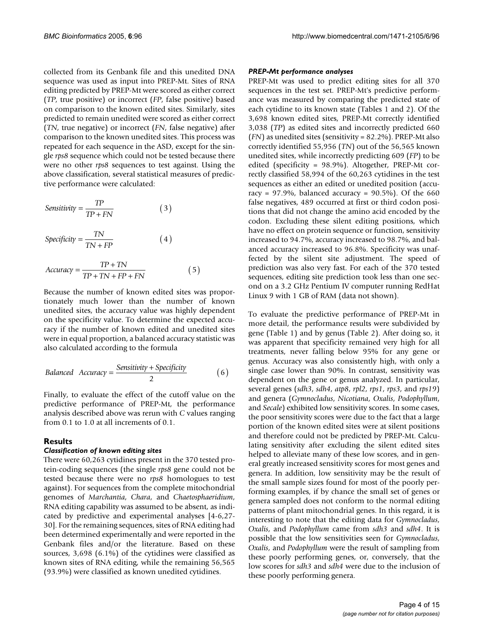collected from its Genbank file and this unedited DNA sequence was used as input into PREP-Mt. Sites of RNA editing predicted by PREP-Mt were scored as either correct (*TP*, true positive) or incorrect (*FP*, false positive) based on comparison to the known edited sites. Similarly, sites predicted to remain unedited were scored as either correct (*TN*, true negative) or incorrect (*FN*, false negative) after comparison to the known unedited sites. This process was repeated for each sequence in the ASD, except for the single *rps8* sequence which could not be tested because there were no other *rps8* sequences to test against. Using the above classification, several statistical measures of predictive performance were calculated:

$$
Sensitivity = \frac{TP}{TP + FN}
$$
 (3)

$$
Specificity = \frac{TN}{TN + FP}
$$
 (4)

$$
Accuracy = \frac{TP + TN}{TP + TN + FP + FN}
$$
 (5)

Because the number of known edited sites was proportionately much lower than the number of known unedited sites, the accuracy value was highly dependent on the specificity value. To determine the expected accuracy if the number of known edited and unedited sites were in equal proportion, a balanced accuracy statistic was also calculated according to the formula

Balanced Accuracy = 
$$
\frac{Sensitivity + Specificity}{2}
$$
 (6)

Finally, to evaluate the effect of the cutoff value on the predictive performance of PREP-Mt, the performance analysis described above was rerun with *C* values ranging from 0.1 to 1.0 at all increments of 0.1.

### **Results**

#### *Classification of known editing sites*

There were 60,263 cytidines present in the 370 tested protein-coding sequences (the single *rps8* gene could not be tested because there were no *rps8* homologues to test against). For sequences from the complete mitochondrial genomes of *Marchantia*, *Chara*, and *Chaetosphaeridium*, RNA editing capability was assumed to be absent, as indicated by predictive and experimental analyses [4-6,27- 30]. For the remaining sequences, sites of RNA editing had been determined experimentally and were reported in the Genbank files and/or the literature. Based on these sources, 3,698 (6.1%) of the cytidines were classified as known sites of RNA editing, while the remaining 56,565 (93.9%) were classified as known unedited cytidines.

#### *PREP-Mt performance analyses*

PREP-Mt was used to predict editing sites for all 370 sequences in the test set. PREP-Mt's predictive performance was measured by comparing the predicted state of each cytidine to its known state (Tables [1](#page-4-0) and [2](#page-5-0)). Of the 3,698 known edited sites, PREP-Mt correctly identified 3,038 (*TP*) as edited sites and incorrectly predicted 660 (*FN*) as unedited sites (sensitivity = 82.2%). PREP-Mt also correctly identified 55,956 (*TN*) out of the 56,565 known unedited sites, while incorrectly predicting 609 (*FP*) to be edited (specificity = 98.9%). Altogether, PREP-Mt correctly classified 58,994 of the 60,263 cytidines in the test sequences as either an edited or unedited position (accuracy =  $97.9\%$ , balanced accuracy =  $90.5\%$ ). Of the 660 false negatives, 489 occurred at first or third codon positions that did not change the amino acid encoded by the codon. Excluding these silent editing positions, which have no effect on protein sequence or function, sensitivity increased to 94.7%, accuracy increased to 98.7%, and balanced accuracy increased to 96.8%. Specificity was unaffected by the silent site adjustment. The speed of prediction was also very fast. For each of the 370 tested sequences, editing site prediction took less than one second on a 3.2 GHz Pentium IV computer running RedHat Linux 9 with 1 GB of RAM (data not shown).

To evaluate the predictive performance of PREP-Mt in more detail, the performance results were subdivided by gene (Table [1\)](#page-4-0) and by genus (Table [2\)](#page-5-0). After doing so, it was apparent that specificity remained very high for all treatments, never falling below 95% for any gene or genus. Accuracy was also consistently high, with only a single case lower than 90%. In contrast, sensitivity was dependent on the gene or genus analyzed. In particular, several genes (*sdh3*, *sdh4*, *atp8*, *rpl2*, *rps1*, *rps3*, and *rps19*) and genera (*Gymnocladus*, *Nicotiana*, *Oxalis*, *Podophyllum*, and *Secale*) exhibited low sensitivity scores. In some cases, the poor sensitivity scores were due to the fact that a large portion of the known edited sites were at silent positions and therefore could not be predicted by PREP-Mt. Calculating sensitivity after excluding the silent edited sites helped to alleviate many of these low scores, and in general greatly increased sensitivity scores for most genes and genera. In addition, low sensitivity may be the result of the small sample sizes found for most of the poorly performing examples, if by chance the small set of genes or genera sampled does not conform to the normal editing patterns of plant mitochondrial genes. In this regard, it is interesting to note that the editing data for *Gymnocladus*, *Oxalis*, and *Podophyllum* came from *sdh3* and *sdh4*. It is possible that the low sensitivities seen for *Gymnocladus*, *Oxalis*, and *Podophyllum* were the result of sampling from these poorly performing genes, or, conversely, that the low scores for *sdh3* and *sdh4* were due to the inclusion of these poorly performing genera.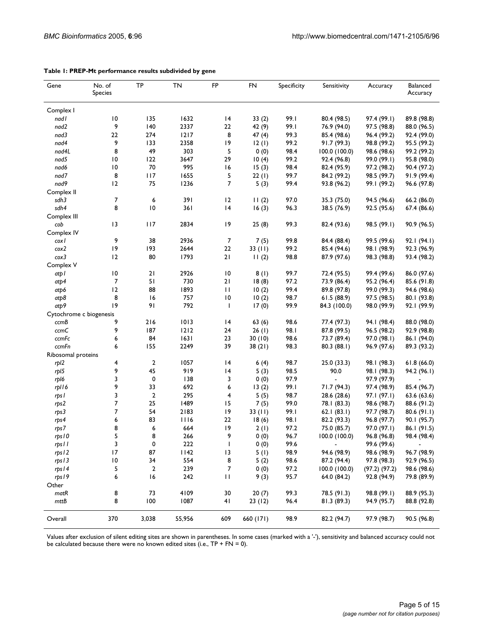| Gene                    | No. of<br>Species | <b>TP</b>       | <b>TN</b> | <b>FP</b>                                                      | <b>FN</b> | Specificity | Sensitivity   | Accuracy      | Balanced<br>Accuracy |
|-------------------------|-------------------|-----------------|-----------|----------------------------------------------------------------|-----------|-------------|---------------|---------------|----------------------|
| Complex I               |                   |                 |           |                                                                |           |             |               |               |                      |
| nadl                    | $\overline{10}$   | 135             | 1632      | 4                                                              | 33(2)     | 99. I       | 80.4 (98.5)   | 97.4 (99.1)   | 89.8 (98.8)          |
| nad2                    | 9                 | 140             | 2337      | 22                                                             | 42 (9)    | 99. I       | 76.9 (94.0)   | 97.5 (98.8)   | 88.0 (96.5)          |
| nad3                    | 22                | 274             | $1217$    | 8                                                              | 47(4)     | 99.3        | 85.4 (98.6)   | 96.4 (99.2)   | 92.4 (99.0)          |
| nad4                    | 9                 | 133             | 2358      | 9                                                              | 12(1)     | 99.2        | 91.7(99.3)    | 98.8 (99.2)   | 95.5 (99.2)          |
| nad4L                   | 8                 | 49              | 303       | 5                                                              | 0(0)      | 98.4        | 100.0(100.0)  | 98.6 (98.6)   | 99.2 (99.2)          |
| nad5                    | $\overline{10}$   | 122             | 3647      | 29                                                             | 10(4)     | 99.2        | 92.4 (96.8)   | 99.0 (99.1)   | 95.8 (98.0)          |
| nad6                    | $\overline{10}$   | 70              | 995       | 16                                                             | 15(3)     | 98.4        | 82.4 (95.9)   | 97.2 (98.2)   | 90.4 (97.2)          |
| nad7                    | 8                 | 117             | 1655      | 5                                                              | 22(1)     | 99.7        | 84.2 (99.2)   | 98.5 (99.7)   | 91.9 (99.4)          |
| nad9                    | 12                | 75              | 1236      | 7                                                              | 5(3)      | 99.4        | 93.8 (96.2)   | 99.1 (99.2)   | 96.6 (97.8)          |
| Complex II              |                   |                 |           |                                                                |           |             |               |               |                      |
| sdh3                    | 7                 | 6               | 391       | 12                                                             | 11(2)     | 97.0        | 35.3 (75.0)   | 94.5 (96.6)   | 66.2 (86.0)          |
| sdh4                    | 8                 | $\overline{10}$ | 361       | 4                                                              | 16(3)     | 96.3        | 38.5 (76.9)   | 92.5 (95.6)   | 67.4 (86.6)          |
| Complex III             |                   |                 |           |                                                                |           |             |               |               |                      |
| cob                     | 13                | 117             | 2834      | 19                                                             | 25(8)     | 99.3        | 82.4 (93.6)   | 98.5 (99.1)   | 90.9 (96.5)          |
| Complex IV              |                   |                 |           |                                                                |           |             |               |               |                      |
| cox l                   | 9                 | 38              | 2936      | 7                                                              | 7(5)      | 99.8        | 84.4 (88.4)   | 99.5 (99.6)   | 92.1 (94.1)          |
| cox2                    | 9                 | 193             | 2644      | 22                                                             | 33(11)    | 99.2        | 85.4 (94.6)   | 98.1 (98.9)   | 92.3 (96.9)          |
| $\cos 3$                | 12                | 80              | 1793      | 21                                                             | 11(2)     | 98.8        | 87.9 (97.6)   | 98.3 (98.8)   | 93.4 (98.2)          |
| Complex V               |                   |                 |           |                                                                |           |             |               |               |                      |
| atp l                   | $\overline{10}$   | 21              | 2926      | $\overline{10}$                                                | 8(1)      | 99.7        | 72.4 (95.5)   | 99.4 (99.6)   | 86.0 (97.6)          |
| atp4                    | 7                 | 51              | 730       | 21                                                             | 18(8)     | 97.2        | 73.9 (86.4)   | 95.2 (96.4)   | 85.6 (91.8)          |
| atp6                    | 12                | 88              | 1893      | П                                                              | 10(2)     | 99.4        | 89.8 (97.8)   | 99.0 (99.3)   | 94.6 (98.6)          |
| atp8                    | 8                 | 16              | 757       | 10                                                             | 10(2)     | 98.7        | 61.5(88.9)    | 97.5 (98.5)   | 80.1 (93.8)          |
| atp9                    | 9                 | 91              | 792       | $\mathbf{I}$                                                   | 17(0)     | 99.9        | 84.3 (100.0)  | 98.0 (99.9)   | 92.1 (99.9)          |
| Cytochrome c biogenesis |                   |                 |           |                                                                |           |             |               |               |                      |
| ccmB                    | 9                 | 216             | 1013      | 14                                                             | 63(6)     | 98.6        | 77.4 (97.3)   | 94.1 (98.4)   | 88.0 (98.0)          |
| ccmC                    | 9                 | 187             | $1212$    | 24                                                             | 26(1)     | 98.I        | 87.8 (99.5)   | 96.5 (98.2)   | 92.9 (98.8)          |
| ccmFc                   | 6                 | 84              | 1631      | 23                                                             | 30(10)    | 98.6        | 73.7 (89.4)   | 97.0 (98.1)   | 86.1 (94.0)          |
| ccmFn                   | 6                 | 155             | 2249      | 39                                                             | 38(21)    | 98.3        | 80.3 (88.1)   | 96.9 (97.6)   | 89.3 (93.2)          |
| Ribosomal proteins      |                   |                 |           |                                                                |           |             |               |               |                      |
| rpl2                    | 4                 | $\overline{2}$  | 1057      | 4                                                              | 6(4)      | 98.7        | 25.0(33.3)    | 98.1 (98.3)   | 61.8(66.0)           |
| rp15                    | 9                 | 45              | 919       | 4                                                              | 5(3)      | 98.5        | 90.0          | 98.1 (98.3)   | 94.2 (96.1)          |
| rpl6                    | 3                 | 0               | 138       | 3                                                              | 0(0)      | 97.9        |               | 97.9 (97.9)   |                      |
| rpI16                   | 9                 | 33              | 692       | 6                                                              | 13(2)     | 99. I       | 71.7 (94.3)   | 97.4 (98.9)   | 85.4 (96.7)          |
| rpsl                    | 3                 | $\overline{2}$  | 295       | 4                                                              | 5(5)      | 98.7        | 28.6 (28.6)   | 97.1 (97.1)   | 63.6 (63.6)          |
| rps2                    | 7                 | 25              | 1489      | 15                                                             | 7(5)      | 99.0        | 78.1 (83.3)   | 98.6 (98.7)   | 88.6 (91.2)          |
| rps3                    | 7                 | 54              | 2183      | 9                                                              | 33(11)    | 99. I       | 62.1(83.1)    | 97.7 (98.7)   | 80.6(91.1)           |
| rps4                    | 6                 | 83              | 1116      | $22\,$                                                         | 18(6)     | 98. I       | 82.2 (93.3)   | 96.8 (97.7)   | 90.1 (95.7)          |
| rps7                    | 8                 | 6               | 664       | 9                                                              | 2(1)      | 97.2        | 75.0 (85.7)   | 97.0 (97.1)   | 86.1 (91.5)          |
| rps10                   | 5                 | 8               | 266       | 9                                                              | 0(0)      | 96.7        | 100.0 (100.0) | 96.8 (96.8)   | 98.4 (98.4)          |
| rps I I                 | 3                 | 0               | 222       | $\mathbf{I}$                                                   | 0(0)      | 99.6        |               | 99.6 (99.6)   |                      |
| rps 12                  | 17                | 87              | 1142      | 13                                                             | 5(1)      | 98.9        | 94.6 (98.9)   | 98.6 (98.9)   | 96.7 (98.9)          |
| rps13                   | $\overline{10}$   | 34              | 554       | 8                                                              | 5(2)      | 98.6        | 87.2 (94.4)   | 97.8 (98.3)   | 92.9 (96.5)          |
| rps14                   | 5                 | 2               | 239       | 7                                                              | 0(0)      | 97.2        | 100.0(100.0)  | (97.2) (97.2) | 98.6 (98.6)          |
| rps19                   | 6                 | 16              | 242       | $\mathsf{H}% _{T}=\mathsf{H}_{T}\left( \mathcal{M}_{T}\right)$ |           | 95.7        | 64.0 (84.2)   | 92.8 (94.9)   | 79.8 (89.9)          |
| Other                   |                   |                 |           |                                                                | 9(3)      |             |               |               |                      |
| matR                    | 8                 | 73              | 4109      | 30                                                             | 20(7)     | 99.3        | 78.5 (91.3)   | 98.8 (99.1)   | 88.9 (95.3)          |
| $m$ tt $B$              | 8                 | 100             | 1087      | 41                                                             | 23(12)    | 96.4        | 81.3 (89.3)   | 94.9 (95.7)   | 88.8 (92.8)          |
|                         |                   |                 |           |                                                                |           |             |               |               |                      |
| Overall                 | 370               | 3,038           | 55,956    | 609                                                            | 660 (171) | 98.9        | 82.2 (94.7)   | 97.9 (98.7)   | 90.5 (96.8)          |

#### <span id="page-4-0"></span>**Table 1: PREP-Mt performance results subdivided by gene**

Values after exclusion of silent editing sites are shown in parentheses. In some cases (marked with a '-'), sensitivity and balanced accuracy could not be calculated because there were no known edited sites (i.e., TP + FN = 0).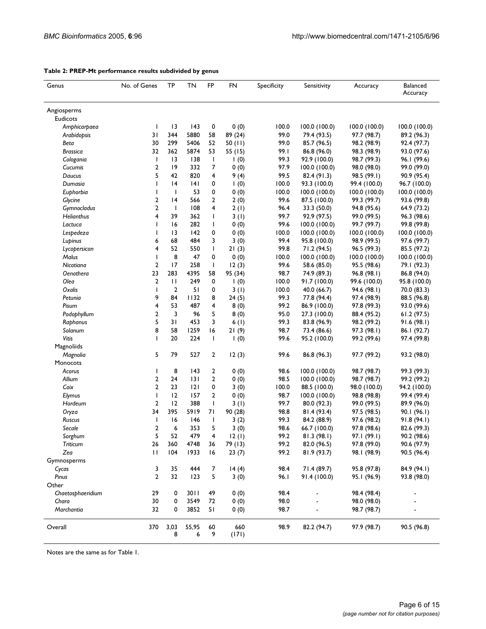| Genus                   | No. of Genes   | <b>TP</b>       | ΤN         | FP           | FN           | Specificity | Sensitivity   | Accuracy      | Balanced<br>Accuracy |
|-------------------------|----------------|-----------------|------------|--------------|--------------|-------------|---------------|---------------|----------------------|
| Angiosperms<br>Eudicots |                |                 |            |              |              |             |               |               |                      |
| Amphicarpaea            | $\mathbf{I}$   | $\overline{13}$ | 43         | 0            | 0(0)         | 100.0       | 100.0(100.0)  | 100.0(100.0)  | 100.0(100.0)         |
| Arabidopsis             | 31             | 344             | 5880       | 58           | 89 (24)      | 99.0        | 79.4 (93.5)   | 97.7 (98.7)   | 89.2 (96.3)          |
| Beta                    | 30             | 299             | 5406       | 52           | 50(11)       | 99.0        | 85.7 (96.5)   | 98.2 (98.9)   | 92.4 (97.7)          |
| Brassica                | 32             | 362             | 5874       | 53           | 55 (15)      | 99.I        | 86.8 (96.0)   | 98.3 (98.9)   | 93.0 (97.6)          |
| Cologania               | $\mathbf{I}$   | 3               | 138        | I.           | 1(0)         | 99.3        | 92.9 (100.0)  | 98.7 (99.3)   | 96.1 (99.6)          |
| Cucumis                 | 2              | 9               | 332        | 7            | 0(0)         | 97.9        | 100.0(100.0)  | 98.0 (98.0)   | 99.0 (99.0)          |
| Daucus                  | 5              | 42              | 820        | 4            | 9(4)         | 99.5        | 82.4 (91.3)   | 98.5 (99.1)   | 90.9 (95.4)          |
| Dumasia                 | I.             | 4               | 4          | 0            | $\vert$ (0)  | 100.0       | 93.3 (100.0)  | 99.4 (100.0)  | 96.7 (100.0)         |
| Euphorbia               | $\mathbf{I}$   | $\mathbf{I}$    | 53         | 0            | 0(0)         | 100.0       | 100.0 (100.0) | 100.0 (100.0) | 100.0 (100.0)        |
| Glycine                 | 2              | 4               | 566        | 2            | 2(0)         | 99.6        | 87.5 (100.0)  | 99.3 (99.7)   | 93.6 (99.8)          |
| Gymnocladus             | $\overline{2}$ | $\mathbf{I}$    | 108        | 4            | 2(1)         | 96.4        | 33.3 (50.0)   | 94.8 (95.6)   | 64.9 (73.2)          |
| Helianthus              | 4              | 39              | 362        | T            | 3(1)         | 99.7        | 92.9 (97.5)   | 99.0 (99.5)   | 96.3 (98.6)          |
| Lactuca                 | $\mathbf{I}$   | 16              | 282        | L            | 0(0)         | 99.6        | 100.0(100.0)  | 99.7 (99.7)   | 99.8 (99.8)          |
| Lespedeza               | I.             | $\overline{13}$ | 142        | 0            | 0(0)         | 100.0       | 100.0(100.0)  | 100.0(100.0)  | 100.0(100.0)         |
| Lupinus                 | 6              | 68              | 484        | 3            | 3(0)         | 99.4        | 95.8 (100.0)  | 98.9 (99.5)   | 97.6 (99.7)          |
| Lycopersicon            | 4              | 52              | 550        | L            | 21(3)        | 99.8        | 71.2 (94.5)   | 96.5 (99.3)   | 85.5 (97.2)          |
| Malus                   | I              | 8               | 47         | 0            | 0(0)         | 100.0       | 100.0(100.0)  | 100.0 (100.0) | 100.0(100.0)         |
| Nicotiana               | $\overline{2}$ | 17              | 258        | I.           | 12(3)        | 99.6        | 58.6 (85.0)   | 95.5 (98.6)   | 79.1 (92.3)          |
| Oenothera               | 23             | 283             | 4395       | 58           | 95 (34)      | 98.7        | 74.9 (89.3)   | 96.8 (98.I)   | 86.8 (94.0)          |
| Olea                    | $\overline{2}$ | $\mathbf{H}$    | 249        | 0            | $\vert$ (0)  | 100.0       | 91.7 (100.0)  | 99.6 (100.0)  | 95.8 (100.0)         |
| Oxalis                  | $\mathbf{I}$   | $\overline{2}$  | 51         | 0            | 3(1)         | 100.0       | 40.0 (66.7)   | 94.6 (98.1)   | 70.0 (83.3)          |
| Petunia                 | 9              | 84              | 1132       | 8            | 24(5)        | 99.3        | 77.8 (94.4)   | 97.4 (98.9)   | 88.5 (96.8)          |
| Pisum                   | 4              | 53              | 487        | 4            | 8(0)         | 99.2        | 86.9 (100.0)  | 97.8 (99.3)   | 93.0 (99.6)          |
| Podophyllum             | $\overline{2}$ | 3               | 96         | 5            | 8(0)         | 95.0        | 27.3 (100.0)  | 88.4 (95.2)   | 61.2(97.5)           |
| Raphanus                | 5              | 31              | 453        | 3            | 6(1)         | 99.3        | 83.8 (96.9)   | 98.2 (99.2)   | 91.6 (98.1)          |
| Solanum                 | 8              | 58              | 1259       | 16           | 21(9)        | 98.7        | 73.4 (86.6)   | 97.3 (98.1)   | 86.1 (92.7)          |
| Vitis                   | T              | 20              | 224        | $\mathbf{I}$ | 1(0)         | 99.6        | 95.2 (100.0)  | 99.2 (99.6)   | 97.4 (99.8)          |
| Magnoliids              |                |                 |            |              |              |             |               |               |                      |
| Magnolia                | 5              | 79              | 527        | 2            | 12(3)        | 99.6        | 86.8 (96.3)   | 97.7 (99.2)   | 93.2 (98.0)          |
| Monocots                |                |                 |            |              |              |             |               |               |                      |
| Acorus                  | $\mathbf{I}$   | 8               | 143        | 2            | 0(0)         | 98.6        | 100.0(100.0)  | 98.7 (98.7)   | 99.3 (99.3)          |
| Allium                  | $\overline{2}$ | 24              | 131        | 2            | 0(0)         | 98.5        | 100.0 (100.0) | 98.7 (98.7)   | 99.2 (99.2)          |
| Coix                    | $\overline{2}$ | 23              | 2          | 0            | 3(0)         | 100.0       | 88.5 (100.0)  | 98.0 (100.0)  | 94.2 (100.0)         |
| <b>Elymus</b>           | $\mathbf{I}$   | 12              | 157        | 2            | 0(0)         | 98.7        | 100.0(100.0)  | 98.8 (98.8)   | 99.4 (99.4)          |
| Hordeum                 | $\overline{2}$ | 12              | 388        | I            | 3(1)         | 99.7        | 80.0 (92.3)   | 99.0 (99.5)   | 89.9 (96.0)          |
| Oryza                   | 34             | 395             | 5919       | 71           | 90 (28)      | 98.8        | 81.4 (93.4)   | 97.5 (98.5)   | 90.I (96.I)          |
| Ruscus                  | I.             | 16              | 146        | I.           | 3(2)         | 99.3        | 84.2 (88.9)   | 97.6 (98.2)   | 91.8(94.1)           |
| Secale                  | $\overline{2}$ | 6               | 353        | 5            | 3(0)         | 98.6        | 66.7 (100.0)  | 97.8 (98.6)   | 82.6 (99.3)          |
| Sorghum                 | 5              | 52              | 479        | 4            | 12(1)        | 99.2        | 81.3 (98.1)   | 97.1 (99.1)   | 90.2 (98.6)          |
| <b>Triticum</b>         | 26             | 360             | 4748       | 36           | 79 (13)      | 99.2        | 82.0 (96.5)   | 97.8 (99.0)   | 90.6 (97.9)          |
| Zea                     | П              | 104             | 1933       | 16           | 23(7)        | 99.2        | 81.9 (93.7)   | 98.1 (98.9)   | 90.5 (96.4)          |
| Gymnosperms             |                |                 |            |              |              |             |               |               |                      |
| Cycas                   | 3              | 35              | 444        | 7            | 14(4)        | 98.4        | 71.4 (89.7)   | 95.8 (97.8)   | 84.9 (94.1)          |
| Pinus                   | $\overline{2}$ | 32              | 123        | 5            | 3(0)         | 96. l       | 91.4 (100.0)  | 95.1 (96.9)   | 93.8 (98.0)          |
| Other                   |                |                 |            |              |              |             |               |               |                      |
| Chaetosphaeridium       | 29             | 0               | 3011       | 49           | 0(0)         | 98.4        |               | 98.4 (98.4)   |                      |
| Chara                   | 30             | 0               | 3549       | 72           | 0(0)         | 98.0        |               | 98.0 (98.0)   |                      |
| Marchantia              | 32             | 0               | 3852       | 51           | 0(0)         | 98.7        |               | 98.7 (98.7)   |                      |
| Overall                 | 370            | 3,03<br>8       | 55,95<br>6 | 60<br>9      | 660<br>(171) | 98.9        | 82.2 (94.7)   | 97.9 (98.7)   | 90.5 (96.8)          |

#### <span id="page-5-0"></span>**Table 2: PREP-Mt performance results subdivided by genus**

Notes are the same as for Table 1.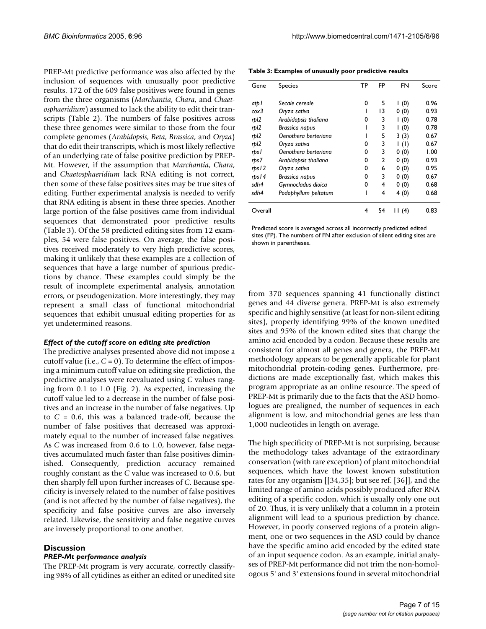PREP-Mt predictive performance was also affected by the inclusion of sequences with unusually poor predictive results. 172 of the 609 false positives were found in genes from the three organisms (*Marchantia*, *Chara*, and *Chaetosphaeridium*) assumed to lack the ability to edit their transcripts (Table [2](#page-5-0)). The numbers of false positives across these three genomes were similar to those from the four complete genomes (*Arabidopsis*, *Beta*, *Brassica*, and *Oryza*) that do edit their transcripts, which is most likely reflective of an underlying rate of false positive prediction by PREP-Mt. However, if the assumption that *Marchantia*, *Chara*, and *Chaetosphaeridium* lack RNA editing is not correct, then some of these false positives sites may be true sites of editing. Further experimental analysis is needed to verify that RNA editing is absent in these three species. Another large portion of the false positives came from individual sequences that demonstrated poor predictive results (Table 3). Of the 58 predicted editing sites from 12 examples, 54 were false positives. On average, the false positives received moderately to very high predictive scores, making it unlikely that these examples are a collection of sequences that have a large number of spurious predictions by chance. These examples could simply be the result of incomplete experimental analysis, annotation errors, or pseudogenization. More interestingly, they may represent a small class of functional mitochondrial sequences that exhibit unusual editing properties for as yet undetermined reasons.

#### *Effect of the cutoff score on editing site prediction*

The predictive analyses presented above did not impose a cutoff value (i.e.,  $C = 0$ ). To determine the effect of imposing a minimum cutoff value on editing site prediction, the predictive analyses were reevaluated using *C* values ranging from 0.1 to 1.0 (Fig. 2). As expected, increasing the cutoff value led to a decrease in the number of false positives and an increase in the number of false negatives. Up to *C* = 0.6, this was a balanced trade-off, because the number of false positives that decreased was approximately equal to the number of increased false negatives. As *C* was increased from 0.6 to 1.0, however, false negatives accumulated much faster than false positives diminished. Consequently, prediction accuracy remained roughly constant as the *C* value was increased to 0.6, but then sharply fell upon further increases of *C*. Because specificity is inversely related to the number of false positives (and is not affected by the number of false negatives), the specificity and false positive curves are also inversely related. Likewise, the sensitivity and false negative curves are inversely proportional to one another.

#### **Discussion**

#### *PREP-Mt performance analysis*

The PREP-Mt program is very accurate, correctly classifying 98% of all cytidines as either an edited or unedited site

**Table 3: Examples of unusually poor predictive results**

| Gene    | <b>Species</b>        | ТP | FP | FN          | Score |
|---------|-----------------------|----|----|-------------|-------|
| atb l   | Secale cereale        | 0  | 5  | (0)         | 0.96  |
| cox3    | Oryza sativa          |    | 13 | 0(0)        | 0.93  |
| rpl2    | Arabidopsis thaliana  | 0  | 3  | (0)<br>L    | 0.78  |
| rpl2    | <b>Brassica napus</b> |    | 3  | (0)         | 0.78  |
| rpl2    | Oenothera berteriana  |    | 5  | 3(3)        | 0.67  |
| rpl2    | Oryza sativa          | 0  | 3  | $\vert$ (l) | 0.67  |
| rps l   | Oenothera berteriana  | 0  | 3  | 0(0)        | 1.00  |
| rps7    | Arabidopsis thaliana  | 0  | 2  | 0(0)        | 0.93  |
| rps 12  | Oryza sativa          | 0  | 6  | 0(0)        | 0.95  |
| rps 14  | <b>Brassica napus</b> | O  | 3  | 0(0)        | 0.67  |
| sdh4    | Gymnocladus dioica    | 0  | 4  | 0(0)        | 0.68  |
| sdh4    | Podophyllum peltatum  |    | 4  | 4(0)        | 0.68  |
| Overall |                       | 4  | 54 | 11(4)       | 0.83  |

Predicted score is averaged across all incorrectly predicted edited sites (FP). The numbers of FN after exclusion of silent editing sites are shown in parentheses.

from 370 sequences spanning 41 functionally distinct genes and 44 diverse genera. PREP-Mt is also extremely specific and highly sensitive (at least for non-silent editing sites), properly identifying 99% of the known unedited sites and 95% of the known edited sites that change the amino acid encoded by a codon. Because these results are consistent for almost all genes and genera, the PREP-Mt methodology appears to be generally applicable for plant mitochondrial protein-coding genes. Furthermore, predictions are made exceptionally fast, which makes this program appropriate as an online resource. The speed of PREP-Mt is primarily due to the facts that the ASD homologues are prealigned, the number of sequences in each alignment is low, and mitochondrial genes are less than 1,000 nucleotides in length on average.

The high specificity of PREP-Mt is not surprising, because the methodology takes advantage of the extraordinary conservation (with rare exception) of plant mitochondrial sequences, which have the lowest known substitution rates for any organism [[34,35]; but see ref. [36]], and the limited range of amino acids possibly produced after RNA editing of a specific codon, which is usually only one out of 20. Thus, it is very unlikely that a column in a protein alignment will lead to a spurious prediction by chance. However, in poorly conserved regions of a protein alignment, one or two sequences in the ASD could by chance have the specific amino acid encoded by the edited state of an input sequence codon. As an example, initial analyses of PREP-Mt performance did not trim the non-homologous 5' and 3' extensions found in several mitochondrial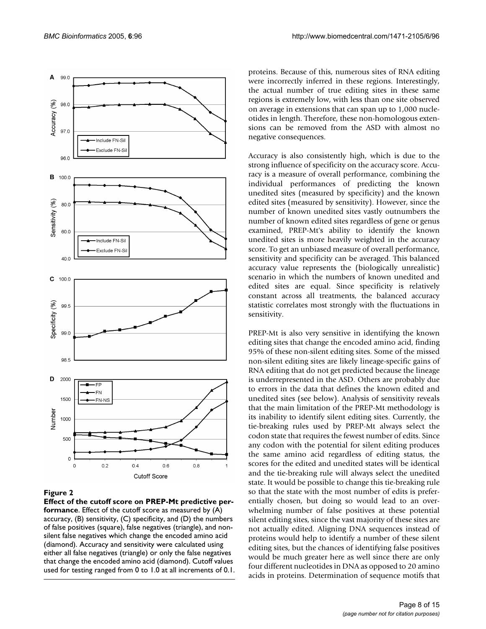

#### **Figure 2**

**Effect of the cutoff score on PREP-Mt predictive performance**. Effect of the cutoff score as measured by (A) accuracy, (B) sensitivity, (C) specificity, and (D) the numbers of false positives (square), false negatives (triangle), and nonsilent false negatives which change the encoded amino acid (diamond). Accuracy and sensitivity were calculated using either all false negatives (triangle) or only the false negatives that change the encoded amino acid (diamond). Cutoff values used for testing ranged from 0 to 1.0 at all increments of 0.1. proteins. Because of this, numerous sites of RNA editing were incorrectly inferred in these regions. Interestingly, the actual number of true editing sites in these same regions is extremely low, with less than one site observed on average in extensions that can span up to 1,000 nucleotides in length. Therefore, these non-homologous extensions can be removed from the ASD with almost no negative consequences.

Accuracy is also consistently high, which is due to the strong influence of specificity on the accuracy score. Accuracy is a measure of overall performance, combining the individual performances of predicting the known unedited sites (measured by specificity) and the known edited sites (measured by sensitivity). However, since the number of known unedited sites vastly outnumbers the number of known edited sites regardless of gene or genus examined, PREP-Mt's ability to identify the known unedited sites is more heavily weighted in the accuracy score. To get an unbiased measure of overall performance, sensitivity and specificity can be averaged. This balanced accuracy value represents the (biologically unrealistic) scenario in which the numbers of known unedited and edited sites are equal. Since specificity is relatively constant across all treatments, the balanced accuracy statistic correlates most strongly with the fluctuations in sensitivity.

PREP-Mt is also very sensitive in identifying the known editing sites that change the encoded amino acid, finding 95% of these non-silent editing sites. Some of the missed non-silent editing sites are likely lineage-specific gains of RNA editing that do not get predicted because the lineage is underrepresented in the ASD. Others are probably due to errors in the data that defines the known edited and unedited sites (see below). Analysis of sensitivity reveals that the main limitation of the PREP-Mt methodology is its inability to identify silent editing sites. Currently, the tie-breaking rules used by PREP-Mt always select the codon state that requires the fewest number of edits. Since any codon with the potential for silent editing produces the same amino acid regardless of editing status, the scores for the edited and unedited states will be identical and the tie-breaking rule will always select the unedited state. It would be possible to change this tie-breaking rule so that the state with the most number of edits is preferentially chosen, but doing so would lead to an overwhelming number of false positives at these potential silent editing sites, since the vast majority of these sites are not actually edited. Aligning DNA sequences instead of proteins would help to identify a number of these silent editing sites, but the chances of identifying false positives would be much greater here as well since there are only four different nucleotides in DNA as opposed to 20 amino acids in proteins. Determination of sequence motifs that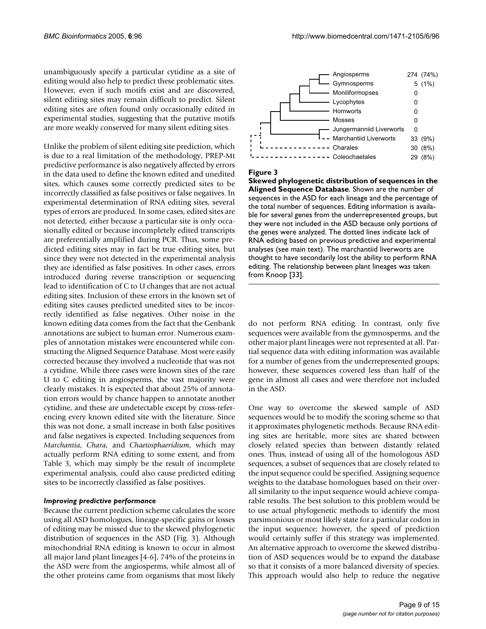unambiguously specify a particular cytidine as a site of editing would also help to predict these problematic sites. However, even if such motifs exist and are discovered, silent editing sites may remain difficult to predict. Silent editing sites are often found only occasionally edited in experimental studies, suggesting that the putative motifs are more weakly conserved for many silent editing sites.

Unlike the problem of silent editing site prediction, which is due to a real limitation of the methodology, PREP-Mt predictive performance is also negatively affected by errors in the data used to define the known edited and unedited sites, which causes some correctly predicted sites to be incorrectly classified as false positives or false negatives. In experimental determination of RNA editing sites, several types of errors are produced. In some cases, edited sites are not detected, either because a particular site is only occasionally edited or because incompletely edited transcripts are preferentially amplified during PCR. Thus, some predicted editing sites may in fact be true editing sites, but since they were not detected in the experimental analysis they are identified as false positives. In other cases, errors introduced during reverse transcription or sequencing lead to identification of C to U changes that are not actual editing sites. Inclusion of these errors in the known set of editing sites causes predicted unedited sites to be incorrectly identified as false negatives. Other noise in the known editing data comes from the fact that the Genbank annotations are subject to human error. Numerous examples of annotation mistakes were encountered while constructing the Aligned Sequence Database. Most were easily corrected because they involved a nucleotide that was not a cytidine. While three cases were known sites of the rare U to C editing in angiosperms, the vast majority were clearly mistakes. It is expected that about 25% of annotation errors would by chance happen to annotate another cytidine, and these are undetectable except by cross-referencing every known edited site with the literature. Since this was not done, a small increase in both false positives and false negatives is expected. Including sequences from *Marchantia*, *Chara*, and *Chaetosphaeridium*, which may actually perform RNA editing to some extent, and from Table 3, which may simply be the result of incomplete experimental analysis, could also cause predicted editing sites to be incorrectly classified as false positives.

#### *Improving predictive performance*

Because the current prediction scheme calculates the score using all ASD homologues, lineage-specific gains or losses of editing may be missed due to the skewed phylogenetic distribution of sequences in the ASD (Fig. 3). Although mitochondrial RNA editing is known to occur in almost all major land plant lineages [4-6], 74% of the proteins in the ASD were from the angiosperms, while almost all of the other proteins came from organisms that most likely

![](_page_8_Figure_6.jpeg)

#### **Figure 3**

**Skewed phylogenetic distribution of sequences in the Aligned Sequence Database**. Shown are the number of sequences in the ASD for each lineage and the percentage of the total number of sequences. Editing information is available for several genes from the underrepresented groups, but they were not included in the ASD because only portions of the genes were analyzed. The dotted lines indicate lack of RNA editing based on previous predictive and experimental analyses (see main text). The marchantiid liverworts are thought to have secondarily lost the ability to perform RNA editing. The relationship between plant lineages was taken from Knoop [33].

do not perform RNA editing. In contrast, only five sequences were available from the gymnosperms, and the other major plant lineages were not represented at all. Partial sequence data with editing information was available for a number of genes from the underrepresented groups; however, these sequences covered less than half of the gene in almost all cases and were therefore not included in the ASD.

One way to overcome the skewed sample of ASD sequences would be to modify the scoring scheme so that it approximates phylogenetic methods. Because RNA editing sites are heritable, more sites are shared between closely related species than between distantly related ones. Thus, instead of using all of the homologous ASD sequences, a subset of sequences that are closely related to the input sequence could be specified. Assigning sequence weights to the database homologues based on their overall similarity to the input sequence would achieve comparable results. The best solution to this problem would be to use actual phylogenetic methods to identify the most parsimonious or most likely state for a particular codon in the input sequence; however, the speed of prediction would certainly suffer if this strategy was implemented. An alternative approach to overcome the skewed distribution of ASD sequences would be to expand the database so that it consists of a more balanced diversity of species. This approach would also help to reduce the negative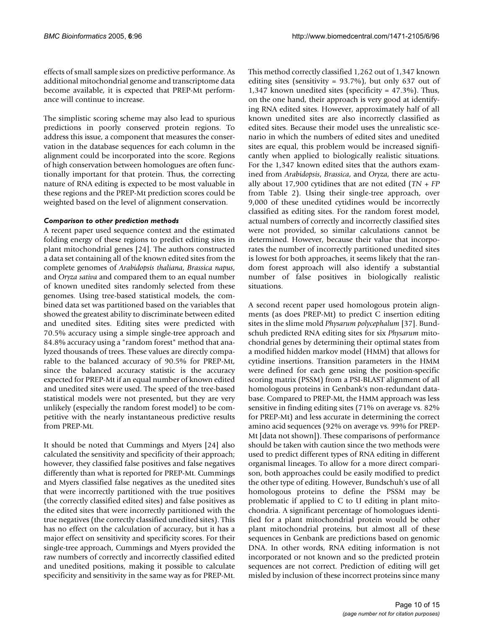effects of small sample sizes on predictive performance. As additional mitochondrial genome and transcriptome data become available, it is expected that PREP-Mt performance will continue to increase.

The simplistic scoring scheme may also lead to spurious predictions in poorly conserved protein regions. To address this issue, a component that measures the conservation in the database sequences for each column in the alignment could be incorporated into the score. Regions of high conservation between homologues are often functionally important for that protein. Thus, the correcting nature of RNA editing is expected to be most valuable in these regions and the PREP-Mt prediction scores could be weighted based on the level of alignment conservation.

#### *Comparison to other prediction methods*

A recent paper used sequence context and the estimated folding energy of these regions to predict editing sites in plant mitochondrial genes [24]. The authors constructed a data set containing all of the known edited sites from the complete genomes of *Arabidopsis thaliana*, *Brassica napus*, and *Oryza sativa* and compared them to an equal number of known unedited sites randomly selected from these genomes. Using tree-based statistical models, the combined data set was partitioned based on the variables that showed the greatest ability to discriminate between edited and unedited sites. Editing sites were predicted with 70.5% accuracy using a simple single-tree approach and 84.8% accuracy using a "random forest" method that analyzed thousands of trees. These values are directly comparable to the balanced accuracy of 90.5% for PREP-Mt, since the balanced accuracy statistic is the accuracy expected for PREP-Mt if an equal number of known edited and unedited sites were used. The speed of the tree-based statistical models were not presented, but they are very unlikely (especially the random forest model) to be competitive with the nearly instantaneous predictive results from PREP-Mt.

It should be noted that Cummings and Myers [24] also calculated the sensitivity and specificity of their approach; however, they classified false positives and false negatives differently than what is reported for PREP-Mt. Cummings and Myers classified false negatives as the unedited sites that were incorrectly partitioned with the true positives (the correctly classified edited sites) and false positives as the edited sites that were incorrectly partitioned with the true negatives (the correctly classified unedited sites). This has no effect on the calculation of accuracy, but it has a major effect on sensitivity and specificity scores. For their single-tree approach, Cummings and Myers provided the raw numbers of correctly and incorrectly classified edited and unedited positions, making it possible to calculate specificity and sensitivity in the same way as for PREP-Mt.

This method correctly classified 1,262 out of 1,347 known editing sites (sensitivity = 93.7%), but only 637 out of 1,347 known unedited sites (specificity = 47.3%). Thus, on the one hand, their approach is very good at identifying RNA edited sites. However, approximately half of all known unedited sites are also incorrectly classified as edited sites. Because their model uses the unrealistic scenario in which the numbers of edited sites and unedited sites are equal, this problem would be increased significantly when applied to biologically realistic situations. For the 1,347 known edited sites that the authors examined from *Arabidopsis*, *Brassica*, and *Oryza*, there are actually about 17,900 cytidines that are not edited (*TN* + *FP* from Table [2\)](#page-5-0). Using their single-tree approach, over 9,000 of these unedited cytidines would be incorrectly classified as editing sites. For the random forest model, actual numbers of correctly and incorrectly classified sites were not provided, so similar calculations cannot be determined. However, because their value that incorporates the number of incorrectly partitioned unedited sites is lowest for both approaches, it seems likely that the random forest approach will also identify a substantial number of false positives in biologically realistic situations.

A second recent paper used homologous protein alignments (as does PREP-Mt) to predict C insertion editing sites in the slime mold *Physarum polycephalum* [37]. Bundschuh predicted RNA editing sites for six *Physarum* mitochondrial genes by determining their optimal states from a modified hidden markov model (HMM) that allows for cytidine insertions. Transition parameters in the HMM were defined for each gene using the position-specific scoring matrix (PSSM) from a PSI-BLAST alignment of all homologous proteins in Genbank's non-redundant database. Compared to PREP-Mt, the HMM approach was less sensitive in finding editing sites (71% on average vs. 82% for PREP-Mt) and less accurate in determining the correct amino acid sequences (92% on average vs. 99% for PREP-Mt [data not shown]). These comparisons of performance should be taken with caution since the two methods were used to predict different types of RNA editing in different organismal lineages. To allow for a more direct comparison, both approaches could be easily modified to predict the other type of editing. However, Bundschuh's use of all homologous proteins to define the PSSM may be problematic if applied to C to U editing in plant mitochondria. A significant percentage of homologues identified for a plant mitochondrial protein would be other plant mitochondrial proteins, but almost all of these sequences in Genbank are predictions based on genomic DNA. In other words, RNA editing information is not incorporated or not known and so the predicted protein sequences are not correct. Prediction of editing will get misled by inclusion of these incorrect proteins since many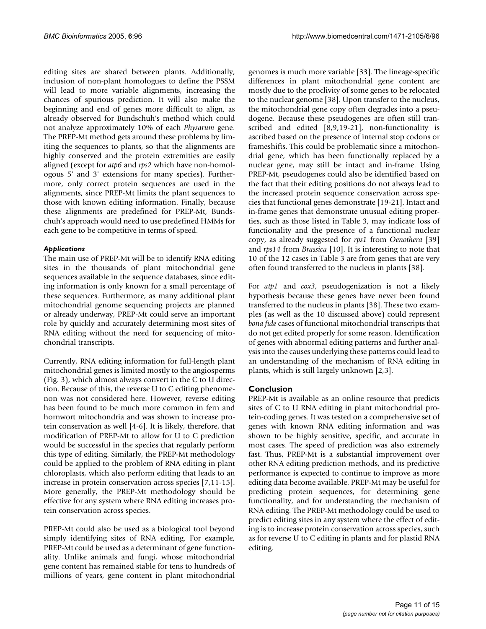editing sites are shared between plants. Additionally, inclusion of non-plant homologues to define the PSSM will lead to more variable alignments, increasing the chances of spurious prediction. It will also make the beginning and end of genes more difficult to align, as already observed for Bundschuh's method which could not analyze approximately 10% of each *Physarum* gene. The PREP-Mt method gets around these problems by limiting the sequences to plants, so that the alignments are highly conserved and the protein extremities are easily aligned (except for *atp6* and *rps2* which have non-homologous 5' and 3' extensions for many species). Furthermore, only correct protein sequences are used in the alignments, since PREP-Mt limits the plant sequences to those with known editing information. Finally, because these alignments are predefined for PREP-Mt, Bundschuh's approach would need to use predefined HMMs for each gene to be competitive in terms of speed.

### *Applications*

The main use of PREP-Mt will be to identify RNA editing sites in the thousands of plant mitochondrial gene sequences available in the sequence databases, since editing information is only known for a small percentage of these sequences. Furthermore, as many additional plant mitochondrial genome sequencing projects are planned or already underway, PREP-Mt could serve an important role by quickly and accurately determining most sites of RNA editing without the need for sequencing of mitochondrial transcripts.

Currently, RNA editing information for full-length plant mitochondrial genes is limited mostly to the angiosperms (Fig. 3), which almost always convert in the C to U direction. Because of this, the reverse U to C editing phenomenon was not considered here. However, reverse editing has been found to be much more common in fern and hornwort mitochondria and was shown to increase protein conservation as well [4-6]. It is likely, therefore, that modification of PREP-Mt to allow for U to C prediction would be successful in the species that regularly perform this type of editing. Similarly, the PREP-Mt methodology could be applied to the problem of RNA editing in plant chloroplasts, which also perform editing that leads to an increase in protein conservation across species [7,11-15]. More generally, the PREP-Mt methodology should be effective for any system where RNA editing increases protein conservation across species.

PREP-Mt could also be used as a biological tool beyond simply identifying sites of RNA editing. For example, PREP-Mt could be used as a determinant of gene functionality. Unlike animals and fungi, whose mitochondrial gene content has remained stable for tens to hundreds of millions of years, gene content in plant mitochondrial

genomes is much more variable [33]. The lineage-specific differences in plant mitochondrial gene content are mostly due to the proclivity of some genes to be relocated to the nuclear genome [38]. Upon transfer to the nucleus, the mitochondrial gene copy often degrades into a pseudogene. Because these pseudogenes are often still transcribed and edited [8,9,19-21], non-functionality is ascribed based on the presence of internal stop codons or frameshifts. This could be problematic since a mitochondrial gene, which has been functionally replaced by a nuclear gene, may still be intact and in-frame. Using PREP-Mt, pseudogenes could also be identified based on the fact that their editing positions do not always lead to the increased protein sequence conservation across species that functional genes demonstrate [19-21]. Intact and in-frame genes that demonstrate unusual editing properties, such as those listed in Table 3, may indicate loss of functionality and the presence of a functional nuclear copy, as already suggested for *rps1* from *Oenothera* [39] and *rps14* from *Brassica* [10]. It is interesting to note that 10 of the 12 cases in Table 3 are from genes that are very often found transferred to the nucleus in plants [38].

For *atp1* and *cox3*, pseudogenization is not a likely hypothesis because these genes have never been found transferred to the nucleus in plants [38]. These two examples (as well as the 10 discussed above) could represent *bona fide* cases of functional mitochondrial transcripts that do not get edited properly for some reason. Identification of genes with abnormal editing patterns and further analysis into the causes underlying these patterns could lead to an understanding of the mechanism of RNA editing in plants, which is still largely unknown [2,3].

### **Conclusion**

PREP-Mt is available as an online resource that predicts sites of C to U RNA editing in plant mitochondrial protein-coding genes. It was tested on a comprehensive set of genes with known RNA editing information and was shown to be highly sensitive, specific, and accurate in most cases. The speed of prediction was also extremely fast. Thus, PREP-Mt is a substantial improvement over other RNA editing prediction methods, and its predictive performance is expected to continue to improve as more editing data become available. PREP-Mt may be useful for predicting protein sequences, for determining gene functionality, and for understanding the mechanism of RNA editing. The PREP-Mt methodology could be used to predict editing sites in any system where the effect of editing is to increase protein conservation across species, such as for reverse U to C editing in plants and for plastid RNA editing.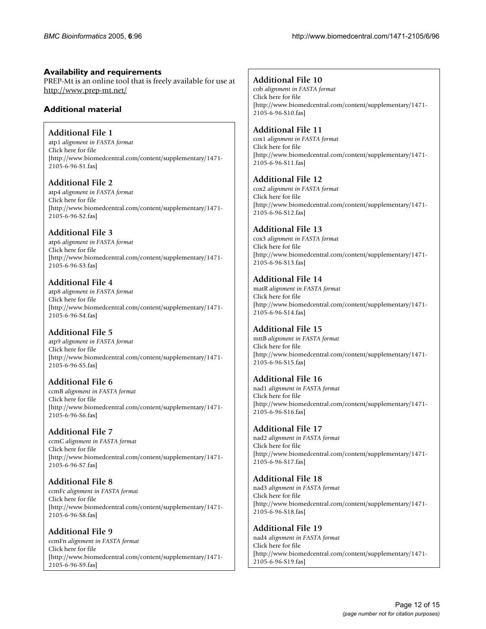### **Availability and requirements**

PREP-Mt is an online tool that is freely available for use at <http://www.prep-mt.net/>

# **Additional material**

### **Additional File 1**

atp1 *alignment in FASTA format* Click here for file [\[http://www.biomedcentral.com/content/supplementary/1471-](http://www.biomedcentral.com/content/supplementary/1471-2105-6-96-S1.fas) 2105-6-96-S1.fas]

### **Additional File 2**

atp4 *alignment in FASTA format* Click here for file [\[http://www.biomedcentral.com/content/supplementary/1471-](http://www.biomedcentral.com/content/supplementary/1471-2105-6-96-S2.fas) 2105-6-96-S2.fas]

## **Additional File 3**

atp6 *alignment in FASTA format* Click here for file [\[http://www.biomedcentral.com/content/supplementary/1471-](http://www.biomedcentral.com/content/supplementary/1471-2105-6-96-S3.fas) 2105-6-96-S3.fas]

### **Additional File 4**

atp8 *alignment in FASTA format* Click here for file [\[http://www.biomedcentral.com/content/supplementary/1471-](http://www.biomedcentral.com/content/supplementary/1471-2105-6-96-S4.fas) 2105-6-96-S4.fas]

# **Additional File 5**

atp9 *alignment in FASTA format* Click here for file [\[http://www.biomedcentral.com/content/supplementary/1471-](http://www.biomedcentral.com/content/supplementary/1471-2105-6-96-S5.fas) 2105-6-96-S5.fas]

#### **Additional File 6**

ccmB *alignment in FASTA format* Click here for file [\[http://www.biomedcentral.com/content/supplementary/1471-](http://www.biomedcentral.com/content/supplementary/1471-2105-6-96-S6.fas) 2105-6-96-S6.fas]

### **Additional File 7**

ccmC *alignment in FASTA format* Click here for file [\[http://www.biomedcentral.com/content/supplementary/1471-](http://www.biomedcentral.com/content/supplementary/1471-2105-6-96-S7.fas) 2105-6-96-S7.fas]

**Additional File 8** ccmFc *alignment in FASTA format* Click here for file [\[http://www.biomedcentral.com/content/supplementary/1471-](http://www.biomedcentral.com/content/supplementary/1471-2105-6-96-S8.fas) 2105-6-96-S8.fas]

**Additional File 9** ccmFn *alignment in FASTA format* Click here for file [\[http://www.biomedcentral.com/content/supplementary/1471-](http://www.biomedcentral.com/content/supplementary/1471-2105-6-96-S9.fas) 2105-6-96-S9.fas]

### **Additional File 10**

cob *alignment in FASTA format* Click here for file [\[http://www.biomedcentral.com/content/supplementary/1471-](http://www.biomedcentral.com/content/supplementary/1471-2105-6-96-S10.fas) 2105-6-96-S10.fas]

### **Additional File 11**

cox1 *alignment in FASTA format* Click here for file [\[http://www.biomedcentral.com/content/supplementary/1471-](http://www.biomedcentral.com/content/supplementary/1471-2105-6-96-S11.fas) 2105-6-96-S11.fas]

## **Additional File 12**

cox2 *alignment in FASTA format* Click here for file [\[http://www.biomedcentral.com/content/supplementary/1471-](http://www.biomedcentral.com/content/supplementary/1471-2105-6-96-S12.fas) 2105-6-96-S12.fas]

## **Additional File 13**

cox3 *alignment in FASTA format* Click here for file [\[http://www.biomedcentral.com/content/supplementary/1471-](http://www.biomedcentral.com/content/supplementary/1471-2105-6-96-S13.fas) 2105-6-96-S13.fas]

## **Additional File 14**

matR *alignment in FASTA format* Click here for file [\[http://www.biomedcentral.com/content/supplementary/1471-](http://www.biomedcentral.com/content/supplementary/1471-2105-6-96-S14.fas) 2105-6-96-S14.fas]

### **Additional File 15**

mttB *alignment in FASTA format* Click here for file [\[http://www.biomedcentral.com/content/supplementary/1471-](http://www.biomedcentral.com/content/supplementary/1471-2105-6-96-S15.fas) 2105-6-96-S15.fas]

### **Additional File 16**

nad1 *alignment in FASTA format* Click here for file [\[http://www.biomedcentral.com/content/supplementary/1471-](http://www.biomedcentral.com/content/supplementary/1471-2105-6-96-S16.fas) 2105-6-96-S16.fas]

### **Additional File 17**

nad2 *alignment in FASTA format* Click here for file [\[http://www.biomedcentral.com/content/supplementary/1471-](http://www.biomedcentral.com/content/supplementary/1471-2105-6-96-S17.fas) 2105-6-96-S17.fas]

# **Additional File 18**

nad3 *alignment in FASTA format* Click here for file [\[http://www.biomedcentral.com/content/supplementary/1471-](http://www.biomedcentral.com/content/supplementary/1471-2105-6-96-S18.fas) 2105-6-96-S18.fas]

#### **Additional File 19** nad4 *alignment in FASTA format*

Click here for file [\[http://www.biomedcentral.com/content/supplementary/1471-](http://www.biomedcentral.com/content/supplementary/1471-2105-6-96-S19.fas) 2105-6-96-S19.fas]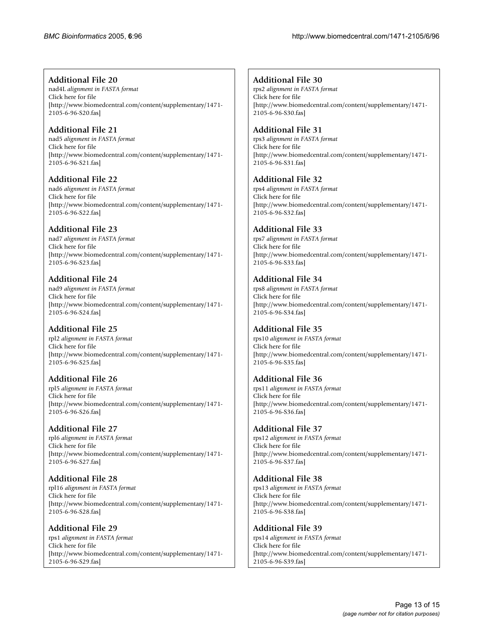## **Additional File 20**

nad4L *alignment in FASTA format* Click here for file [\[http://www.biomedcentral.com/content/supplementary/1471-](http://www.biomedcentral.com/content/supplementary/1471-2105-6-96-S20.fas) 2105-6-96-S20.fas]

## **Additional File 21**

nad5 *alignment in FASTA format* Click here for file [\[http://www.biomedcentral.com/content/supplementary/1471-](http://www.biomedcentral.com/content/supplementary/1471-2105-6-96-S21.fas) 2105-6-96-S21.fas]

# **Additional File 22**

nad6 *alignment in FASTA format* Click here for file [\[http://www.biomedcentral.com/content/supplementary/1471-](http://www.biomedcentral.com/content/supplementary/1471-2105-6-96-S22.fas) 2105-6-96-S22.fas]

# **Additional File 23**

nad7 *alignment in FASTA format* Click here for file [\[http://www.biomedcentral.com/content/supplementary/1471-](http://www.biomedcentral.com/content/supplementary/1471-2105-6-96-S23.fas) 2105-6-96-S23.fas]

## **Additional File 24**

nad9 *alignment in FASTA format* Click here for file [\[http://www.biomedcentral.com/content/supplementary/1471-](http://www.biomedcentral.com/content/supplementary/1471-2105-6-96-S24.fas) 2105-6-96-S24.fas]

# **Additional File 25**

rpl2 *alignment in FASTA format* Click here for file [\[http://www.biomedcentral.com/content/supplementary/1471-](http://www.biomedcentral.com/content/supplementary/1471-2105-6-96-S25.fas) 2105-6-96-S25.fas]

# **Additional File 26**

rpl5 *alignment in FASTA format* Click here for file [\[http://www.biomedcentral.com/content/supplementary/1471-](http://www.biomedcentral.com/content/supplementary/1471-2105-6-96-S26.fas) 2105-6-96-S26.fas]

# **Additional File 27**

rpl6 *alignment in FASTA format* Click here for file [\[http://www.biomedcentral.com/content/supplementary/1471-](http://www.biomedcentral.com/content/supplementary/1471-2105-6-96-S27.fas) 2105-6-96-S27.fas]

# **Additional File 28**

rpl16 *alignment in FASTA format* Click here for file [\[http://www.biomedcentral.com/content/supplementary/1471-](http://www.biomedcentral.com/content/supplementary/1471-2105-6-96-S28.fas) 2105-6-96-S28.fas]

#### **Additional File 29** rps1 *alignment in FASTA format* Click here for file [\[http://www.biomedcentral.com/content/supplementary/1471-](http://www.biomedcentral.com/content/supplementary/1471-2105-6-96-S29.fas) 2105-6-96-S29.fas]

# **Additional File 30**

rps2 *alignment in FASTA format* Click here for file [\[http://www.biomedcentral.com/content/supplementary/1471-](http://www.biomedcentral.com/content/supplementary/1471-2105-6-96-S30.fas) 2105-6-96-S30.fas]

# **Additional File 31**

rps3 *alignment in FASTA format* Click here for file [\[http://www.biomedcentral.com/content/supplementary/1471-](http://www.biomedcentral.com/content/supplementary/1471-2105-6-96-S31.fas) 2105-6-96-S31.fas]

# **Additional File 32**

rps4 *alignment in FASTA format* Click here for file [\[http://www.biomedcentral.com/content/supplementary/1471-](http://www.biomedcentral.com/content/supplementary/1471-2105-6-96-S32.fas) 2105-6-96-S32.fas]

# **Additional File 33**

rps7 *alignment in FASTA format* Click here for file [\[http://www.biomedcentral.com/content/supplementary/1471-](http://www.biomedcentral.com/content/supplementary/1471-2105-6-96-S33.fas) 2105-6-96-S33.fas]

# **Additional File 34**

rps8 *alignment in FASTA format* Click here for file [\[http://www.biomedcentral.com/content/supplementary/1471-](http://www.biomedcentral.com/content/supplementary/1471-2105-6-96-S34.fas) 2105-6-96-S34.fas]

# **Additional File 35**

rps10 *alignment in FASTA format* Click here for file [\[http://www.biomedcentral.com/content/supplementary/1471-](http://www.biomedcentral.com/content/supplementary/1471-2105-6-96-S35.fas) 2105-6-96-S35.fas]

# **Additional File 36**

rps11 *alignment in FASTA format* Click here for file [\[http://www.biomedcentral.com/content/supplementary/1471-](http://www.biomedcentral.com/content/supplementary/1471-2105-6-96-S36.fas) 2105-6-96-S36.fas]

# **Additional File 37**

rps12 *alignment in FASTA format* Click here for file [\[http://www.biomedcentral.com/content/supplementary/1471-](http://www.biomedcentral.com/content/supplementary/1471-2105-6-96-S37.fas) 2105-6-96-S37.fas]

# **Additional File 38**

rps13 *alignment in FASTA format* Click here for file [\[http://www.biomedcentral.com/content/supplementary/1471-](http://www.biomedcentral.com/content/supplementary/1471-2105-6-96-S38.fas) 2105-6-96-S38.fas]

# **Additional File 39**

rps14 *alignment in FASTA format* Click here for file [\[http://www.biomedcentral.com/content/supplementary/1471-](http://www.biomedcentral.com/content/supplementary/1471-2105-6-96-S39.fas) 2105-6-96-S39.fas]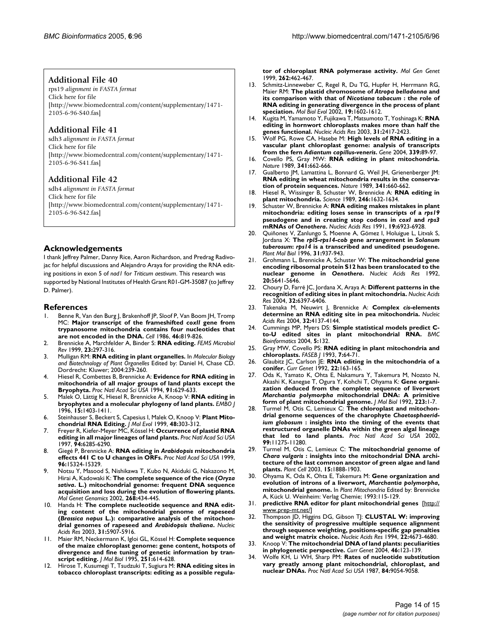#### **Additional File 40**

rps19 *alignment in FASTA format* Click here for file [\[http://www.biomedcentral.com/content/supplementary/1471-](http://www.biomedcentral.com/content/supplementary/1471-2105-6-96-S40.fas) 2105-6-96-S40.fas]

### **Additional File 41**

sdh3 *alignment in FASTA format* Click here for file [\[http://www.biomedcentral.com/content/supplementary/1471-](http://www.biomedcentral.com/content/supplementary/1471-2105-6-96-S41.fas) 2105-6-96-S41.fas]

### **Additional File 42**

sdh4 *alignment in FASTA format* Click here for file [\[http://www.biomedcentral.com/content/supplementary/1471-](http://www.biomedcentral.com/content/supplementary/1471-2105-6-96-S42.fas) 2105-6-96-S42.fas]

#### **Acknowledgements**

I thank Jeffrey Palmer, Danny Rice, Aaron Richardson, and Predrag Radivojac for helpful discussions and Alejandro Araya for providing the RNA editing positions in exon 5 of *nad1* for *Triticum aestivum*. This research was supported by National Institutes of Health Grant R01-GM-35087 (to Jeffrey D. Palmer).

#### **References**

- Benne R, Van den Burg J, Brakenhoff JP, Sloof P, Van Boom JH, Tromp MC: **Major transcript of the frameshifted** *coxII* **[gene from](http://www.ncbi.nlm.nih.gov/entrez/query.fcgi?cmd=Retrieve&db=PubMed&dopt=Abstract&list_uids=3019552) [trypanosome mitochondria contains four nucleotides that](http://www.ncbi.nlm.nih.gov/entrez/query.fcgi?cmd=Retrieve&db=PubMed&dopt=Abstract&list_uids=3019552) [are not encoded in the DNA.](http://www.ncbi.nlm.nih.gov/entrez/query.fcgi?cmd=Retrieve&db=PubMed&dopt=Abstract&list_uids=3019552)** *Cell* 1986, **46:**819-826.
- 2. Brennicke A, Marchfelder A, Binder S: **[RNA editing.](http://www.ncbi.nlm.nih.gov/entrez/query.fcgi?cmd=Retrieve&db=PubMed&dopt=Abstract&list_uids=10371035)** *FEMS Microbiol Rev* 1999, **23:**297-316.
- 3. Mulligan RM: **RNA editing in plant organelles.** In *Molecular Biology and Biotechnology of Plant Organelles* Edited by: Daniel H, Chase CD. Dordrecht: Kluwer; 2004:239-260.
- 4. Hiesel R, Combettes B, Brennicke A: **[Evidence for RNA editing in](http://www.ncbi.nlm.nih.gov/entrez/query.fcgi?cmd=Retrieve&db=PubMed&dopt=Abstract&list_uids=8290575) [mitochondria of all major groups of land plants except the](http://www.ncbi.nlm.nih.gov/entrez/query.fcgi?cmd=Retrieve&db=PubMed&dopt=Abstract&list_uids=8290575) [Bryophyta.](http://www.ncbi.nlm.nih.gov/entrez/query.fcgi?cmd=Retrieve&db=PubMed&dopt=Abstract&list_uids=8290575)** *Proc Natl Acad Sci USA* 1994, **91:**629-633.
- 5. Malek O, Lättig K, Hiesel R, Brennicke A, Knoop V: **[RNA editing in](http://www.ncbi.nlm.nih.gov/entrez/query.fcgi?cmd=Retrieve&db=PubMed&dopt=Abstract&list_uids=8635473) [bryophytes and a molecular phylogeny of land plants.](http://www.ncbi.nlm.nih.gov/entrez/query.fcgi?cmd=Retrieve&db=PubMed&dopt=Abstract&list_uids=8635473)** *EMBO J* 1996, **15:**1403-1411.
- 6. Steinhauser S, Beckert S, Capesius I, Malek O, Knoop V: **[Plant Mito](http://www.ncbi.nlm.nih.gov/entrez/query.fcgi?cmd=Retrieve&db=PubMed&dopt=Abstract&list_uids=10093219)[chondrial RNA Editing.](http://www.ncbi.nlm.nih.gov/entrez/query.fcgi?cmd=Retrieve&db=PubMed&dopt=Abstract&list_uids=10093219)** *J Mol Evol* 1999, **48:**303-312.
- 7. Freyer R, Kiefer-Meyer MC, Kössel H: **[Occurrence of plastid RNA](http://www.ncbi.nlm.nih.gov/entrez/query.fcgi?cmd=Retrieve&db=PubMed&dopt=Abstract&list_uids=9177209) [editing in all major lineages of land plants.](http://www.ncbi.nlm.nih.gov/entrez/query.fcgi?cmd=Retrieve&db=PubMed&dopt=Abstract&list_uids=9177209)** *Proc Natl Acad Sci USA* 1997, **94:**6285-6290.
- 8. Giegé P, Brennicke A: **RNA editing in** *Arabidopsis* **[mitochondria](http://www.ncbi.nlm.nih.gov/entrez/query.fcgi?cmd=Retrieve&db=PubMed&dopt=Abstract&list_uids=10611383) [effects 441 C to U changes in ORFs.](http://www.ncbi.nlm.nih.gov/entrez/query.fcgi?cmd=Retrieve&db=PubMed&dopt=Abstract&list_uids=10611383)** *Proc Natl Acad Sci USA* 1999, **96:**15324-15329.
- 9. Notsu Y, Masood S, Nishikawa T, Kubo N, Akiduki G, Nakazono M, Hirai A, Kadowaki K: **The complete sequence of the rice (***Oryza sativa***[. L.\) mitochondrial genome: frequent DNA sequence](http://www.ncbi.nlm.nih.gov/entrez/query.fcgi?cmd=Retrieve&db=PubMed&dopt=Abstract&list_uids=12471441) [acquisition and loss during the evolution of flowering plants.](http://www.ncbi.nlm.nih.gov/entrez/query.fcgi?cmd=Retrieve&db=PubMed&dopt=Abstract&list_uids=12471441)** *Mol Genet Genomics* 2002, **268:**434-445.
- 10. Handa H: **The complete nucleotide sequence and RNA editing content of the mitochondrial genome of rapeseed (***Brassica napus* **L.): comparative analysis of the mitochondrial genomes of rapeseed and** *Arabidopsis thaliana***[.](http://www.ncbi.nlm.nih.gov/entrez/query.fcgi?cmd=Retrieve&db=PubMed&dopt=Abstract&list_uids=14530439)** *Nucleic Acids Res* 2003, **31:**5907-5916.
- 11. Maier RM, Neckermann K, Igloi GL, Kössel H: **[Complete sequence](http://www.ncbi.nlm.nih.gov/entrez/query.fcgi?cmd=Retrieve&db=PubMed&dopt=Abstract&list_uids=7666415) [of the maize chloroplast genome: gene content, hotspots of](http://www.ncbi.nlm.nih.gov/entrez/query.fcgi?cmd=Retrieve&db=PubMed&dopt=Abstract&list_uids=7666415) divergence and fine tuning of genetic information by tran[script editing.](http://www.ncbi.nlm.nih.gov/entrez/query.fcgi?cmd=Retrieve&db=PubMed&dopt=Abstract&list_uids=7666415)** *J Mol Biol* 1995, **251:**614-628.
- 12. Hirose T, Kusumegi T, Tsudzuki T, Sugiura M: **[RNA editing sites in](http://www.ncbi.nlm.nih.gov/entrez/query.fcgi?cmd=Retrieve&db=PubMed&dopt=Abstract&list_uids=10589833) [tobacco chloroplast transcripts: editing as a possible regula-](http://www.ncbi.nlm.nih.gov/entrez/query.fcgi?cmd=Retrieve&db=PubMed&dopt=Abstract&list_uids=10589833)**

**[tor of chloroplast RNA polymerase activity.](http://www.ncbi.nlm.nih.gov/entrez/query.fcgi?cmd=Retrieve&db=PubMed&dopt=Abstract&list_uids=10589833)** *Mol Gen Genet* 1999, **262:**462-467.

- <span id="page-13-0"></span>13. Schmitz-Linneweber C, Regel R, Du TG, Hupfer H, Herrmann RG, Maier RM: **The plastid chromosome of** *Atropa belladonna* **and its comparison with that of** *Nicotiana tabacum* **[: the role of](http://www.ncbi.nlm.nih.gov/entrez/query.fcgi?cmd=Retrieve&db=PubMed&dopt=Abstract&list_uids=12200487) [RNA editing in generating divergence in the process of plant](http://www.ncbi.nlm.nih.gov/entrez/query.fcgi?cmd=Retrieve&db=PubMed&dopt=Abstract&list_uids=12200487) [speciation.](http://www.ncbi.nlm.nih.gov/entrez/query.fcgi?cmd=Retrieve&db=PubMed&dopt=Abstract&list_uids=12200487)** *Mol Biol Evol* 2002, **19:**1602-1612.
- 14. Kugita M, Yamamoto Y, Fujikawa T, Matsumoto T, Yoshinaga K: **[RNA](http://www.ncbi.nlm.nih.gov/entrez/query.fcgi?cmd=Retrieve&db=PubMed&dopt=Abstract&list_uids=12711687) [editing in hornwort chloroplasts makes more than half the](http://www.ncbi.nlm.nih.gov/entrez/query.fcgi?cmd=Retrieve&db=PubMed&dopt=Abstract&list_uids=12711687) [genes functional.](http://www.ncbi.nlm.nih.gov/entrez/query.fcgi?cmd=Retrieve&db=PubMed&dopt=Abstract&list_uids=12711687)** *Nucleic Acids Res* 2003, **31:**2417-2423.
- 15. Wolf PG, Rowe CA, Hasebe M: **High levels of RNA editing in a vascular plant chloroplast genome: analysis of transcripts from the fern** *Adiantum capillus-veneris***[.](http://www.ncbi.nlm.nih.gov/entrez/query.fcgi?cmd=Retrieve&db=PubMed&dopt=Abstract&list_uids=15363849)** *Gene* 2004, **339:**89-97.
- 16. Covello PS, Gray MW: **[RNA editing in plant mitochondria.](http://www.ncbi.nlm.nih.gov/entrez/query.fcgi?cmd=Retrieve&db=PubMed&dopt=Abstract&list_uids=2552326)** *Nature* 1989, **341:**662-666.
- 17. Gualberto JM, Lamattina L, Bonnard G, Weil JH, Grienenberger JM: **[RNA editing in wheat mitochondria results in the conserva](http://www.ncbi.nlm.nih.gov/entrez/query.fcgi?cmd=Retrieve&db=PubMed&dopt=Abstract&list_uids=2552325)[tion of protein sequences.](http://www.ncbi.nlm.nih.gov/entrez/query.fcgi?cmd=Retrieve&db=PubMed&dopt=Abstract&list_uids=2552325)** *Nature* 1989, **341:**660-662.
- 18. Hiesel R, Wissinger B, Schuster W, Brennicke A: **[RNA editing in](http://www.ncbi.nlm.nih.gov/entrez/query.fcgi?cmd=Retrieve&db=PubMed&dopt=Abstract&list_uids=2480644) [plant mitochondria.](http://www.ncbi.nlm.nih.gov/entrez/query.fcgi?cmd=Retrieve&db=PubMed&dopt=Abstract&list_uids=2480644)** *Science* 1989, **246:**1632-1634.
- 19. Schuster W, Brennicke A: **RNA editing makes mistakes in plant mitochondria: editing loses sense in transcripts of a** *rps19* **pseudogene and in creating stop codons in** *coxI* **and** *rps3* **mRNAs of** *Oenothera***[.](http://www.ncbi.nlm.nih.gov/entrez/query.fcgi?cmd=Retrieve&db=PubMed&dopt=Abstract&list_uids=1762921)** *Nucleic Acids Res* 1991, **19:**6923-6928.
- 20. Quiñones V, Zanlungo S, Moenne A, Gómez I, Holuigue L, Litvak S, Jordana X: **The** *rpl5-rps14-cob* **gene arrangement in** *Solanum tuberosum***:** *rps14* **[is a transcribed and unedited pseudogene.](http://www.ncbi.nlm.nih.gov/entrez/query.fcgi?cmd=Retrieve&db=PubMed&dopt=Abstract&list_uids=8806426)** *Plant Mol Biol* 1996, **31:**937-943.
- 21. Grohmann L, Brennicke A, Schuster W: **The mitochondrial gene encoding ribosomal protein S12 has been translocated to the nuclear genome in** *Oenothera***[.](http://www.ncbi.nlm.nih.gov/entrez/query.fcgi?cmd=Retrieve&db=PubMed&dopt=Abstract&list_uids=1454526)** *Nucleic Acids Res* 1992, **20:**5641-5646.
- 22. Choury D, Farré JC, Jordana X, Araya A: [Different patterns in the](http://www.ncbi.nlm.nih.gov/entrez/query.fcgi?cmd=Retrieve&db=PubMed&dopt=Abstract&list_uids=15585663) **[recognition of editing sites in plant mitochondria.](http://www.ncbi.nlm.nih.gov/entrez/query.fcgi?cmd=Retrieve&db=PubMed&dopt=Abstract&list_uids=15585663)** *Nucleic Acids Res* 2004, **32:**6397-6406.
- 23. Takenaka M, Neuwirt J, Brennicke A: **Complex** *cis***[-elements](http://www.ncbi.nlm.nih.gov/entrez/query.fcgi?cmd=Retrieve&db=PubMed&dopt=Abstract&list_uids=15295040) [determine an RNA editing site in pea mitochondria.](http://www.ncbi.nlm.nih.gov/entrez/query.fcgi?cmd=Retrieve&db=PubMed&dopt=Abstract&list_uids=15295040)** *Nucleic Acids Res* 2004, **32:**4137-4144.
- 24. Cummings MP, Myers DS: **[Simple statistical models predict C](http://www.ncbi.nlm.nih.gov/entrez/query.fcgi?cmd=Retrieve&db=PubMed&dopt=Abstract&list_uids=15373947)[to-U edited sites in plant mitochondrial RNA.](http://www.ncbi.nlm.nih.gov/entrez/query.fcgi?cmd=Retrieve&db=PubMed&dopt=Abstract&list_uids=15373947)** *BMC Bioinformatics* 2004, **5:**132.
- 25. Gray MW, Covello PS: **[RNA editing in plant mitochondria and](http://www.ncbi.nlm.nih.gov/entrez/query.fcgi?cmd=Retrieve&db=PubMed&dopt=Abstract&list_uids=8422976) [chloroplasts.](http://www.ncbi.nlm.nih.gov/entrez/query.fcgi?cmd=Retrieve&db=PubMed&dopt=Abstract&list_uids=8422976)** *FASEB J* 1993, **7:**64-71.
- 26. Glaubitz JC, Carlson JE: **[RNA editing in the mitochondria of a](http://www.ncbi.nlm.nih.gov/entrez/query.fcgi?cmd=Retrieve&db=PubMed&dopt=Abstract&list_uids=1384996) [conifer.](http://www.ncbi.nlm.nih.gov/entrez/query.fcgi?cmd=Retrieve&db=PubMed&dopt=Abstract&list_uids=1384996)** *Curr Genet* 1992, **22:**163-165.
- 27. Oda K, Yamato K, Ohta E, Nakamura Y, Takemura M, Nozato N, Akashi K, Kanegae T, Ogura Y, Kohchi T, Ohyama K: **Gene organization deduced from the complete sequence of liverwort** *Marchantia polymorpha* **[mitochondrial DNA: A primitive](http://www.ncbi.nlm.nih.gov/entrez/query.fcgi?cmd=Retrieve&db=PubMed&dopt=Abstract&list_uids=1731062) [form of plant mitochondrial genome.](http://www.ncbi.nlm.nih.gov/entrez/query.fcgi?cmd=Retrieve&db=PubMed&dopt=Abstract&list_uids=1731062)** *J Mol Biol* 1992, **223:**1-7.
- 28. Turmel M, Otis C, Lemieux C: **The chloroplast and mitochondrial genome sequences of the charophyte** *Chaetosphaeridium globosum* **[: insights into the timing of the events that](http://www.ncbi.nlm.nih.gov/entrez/query.fcgi?cmd=Retrieve&db=PubMed&dopt=Abstract&list_uids=12161560) [restructured organelle DNAs within the green algal lineage](http://www.ncbi.nlm.nih.gov/entrez/query.fcgi?cmd=Retrieve&db=PubMed&dopt=Abstract&list_uids=12161560) [that led to land plants.](http://www.ncbi.nlm.nih.gov/entrez/query.fcgi?cmd=Retrieve&db=PubMed&dopt=Abstract&list_uids=12161560)** *Proc Natl Acad Sci USA* 2002, **99:**11275-11280.
- 29. Turmel M, Otis C, Lemieux C: **The mitochondrial genome of** *Chara vulgaris* **[: insights into the mitochondrial DNA archi](http://www.ncbi.nlm.nih.gov/entrez/query.fcgi?cmd=Retrieve&db=PubMed&dopt=Abstract&list_uids=12897260)[tecture of the last common ancestor of green algae and land](http://www.ncbi.nlm.nih.gov/entrez/query.fcgi?cmd=Retrieve&db=PubMed&dopt=Abstract&list_uids=12897260) [plants.](http://www.ncbi.nlm.nih.gov/entrez/query.fcgi?cmd=Retrieve&db=PubMed&dopt=Abstract&list_uids=12897260)** *Plant Cell* 2003, **15:**1888-1903.
- 30. Ohyama K, Oda K, Ohta E, Takemura M: **Gene organization and evolution of introns of a liverwort,** *Marchantia polymorpha***, mitochondrial genome.** In *Plant Mitochondria* Edited by: Brennicke A, Kück U. Weinheim: Verlag Chemie; 1993:115-129.
- 31. **predictive RNA editor for plant mitochondrial genes** [\[http://](http://www.prep-mt.net/) [www.prep-mt.net/\]](http://www.prep-mt.net/)
- 32. Thompson JD, Higgins DG, Gibson TJ: **[CLUSTAL W: improving](http://www.ncbi.nlm.nih.gov/entrez/query.fcgi?cmd=Retrieve&db=PubMed&dopt=Abstract&list_uids=7984417) the sensitivity of progressive multiple sequence alignment [through sequence weighting, positions-specific gap penalties](http://www.ncbi.nlm.nih.gov/entrez/query.fcgi?cmd=Retrieve&db=PubMed&dopt=Abstract&list_uids=7984417) [and weight matrix choice.](http://www.ncbi.nlm.nih.gov/entrez/query.fcgi?cmd=Retrieve&db=PubMed&dopt=Abstract&list_uids=7984417)** *Nucleic Acids Res* 1994, **22:**4673-4680.
- 33. Knoop V: **[The mitochondrial DNA of land plants: peculiarities](http://www.ncbi.nlm.nih.gov/entrez/query.fcgi?cmd=Retrieve&db=PubMed&dopt=Abstract&list_uids=15300404) [in phylogenetic perspective.](http://www.ncbi.nlm.nih.gov/entrez/query.fcgi?cmd=Retrieve&db=PubMed&dopt=Abstract&list_uids=15300404)** *Curr Genet* 2004, **46:**123-139.
- 34. Wolfe KH, Li WH, Sharp PM: **[Rates of nucleotide substitution](http://www.ncbi.nlm.nih.gov/entrez/query.fcgi?cmd=Retrieve&db=PubMed&dopt=Abstract&list_uids=3480529) [vary greatly among plant mitochondrial, chloroplast, and](http://www.ncbi.nlm.nih.gov/entrez/query.fcgi?cmd=Retrieve&db=PubMed&dopt=Abstract&list_uids=3480529) [nuclear DNAs.](http://www.ncbi.nlm.nih.gov/entrez/query.fcgi?cmd=Retrieve&db=PubMed&dopt=Abstract&list_uids=3480529)** *Proc Natl Acad Sci USA* 1987, **84:**9054-9058.